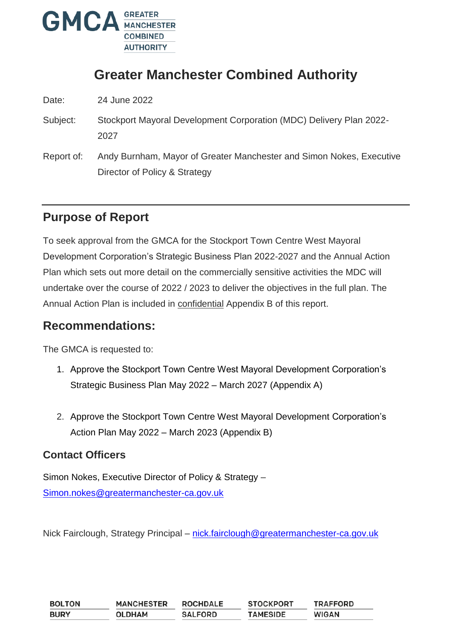

# **Greater Manchester Combined Authority**

Date: 24 June 2022

- Subject: Stockport Mayoral Development Corporation (MDC) Delivery Plan 2022- 2027
- Report of: Andy Burnham, Mayor of Greater Manchester and Simon Nokes, Executive Director of Policy & Strategy

## **Purpose of Report**

To seek approval from the GMCA for the Stockport Town Centre West Mayoral Development Corporation's Strategic Business Plan 2022-2027 and the Annual Action Plan which sets out more detail on the commercially sensitive activities the MDC will undertake over the course of 2022 / 2023 to deliver the objectives in the full plan. The Annual Action Plan is included in confidential Appendix B of this report.

### **Recommendations:**

The GMCA is requested to:

- 1. Approve the Stockport Town Centre West Mayoral Development Corporation's Strategic Business Plan May 2022 – March 2027 (Appendix A)
- 2. Approve the Stockport Town Centre West Mayoral Development Corporation's Action Plan May 2022 – March 2023 (Appendix B)

### **Contact Officers**

Simon Nokes, Executive Director of Policy & Strategy – [Simon.nokes@greatermanchester-ca.gov.uk](mailto:Simon.nokes@greatermanchester-ca.gov.uk)

Nick Fairclough, Strategy Principal – [nick.fairclough@greatermanchester-ca.gov.uk](mailto:nick.fairclough@greatermanchester-ca.gov.uk)

| <b>BOLTON</b> | <b>MANCHESTER</b> | <b>ROCHDALE</b> | <b>STOCKPORT</b> | <b>TRAFFORD</b> |
|---------------|-------------------|-----------------|------------------|-----------------|
| <b>BURY</b>   | <b>OLDHAM</b>     | <b>SALFORD</b>  | <b>TAMESIDE</b>  | <b>WIGAN</b>    |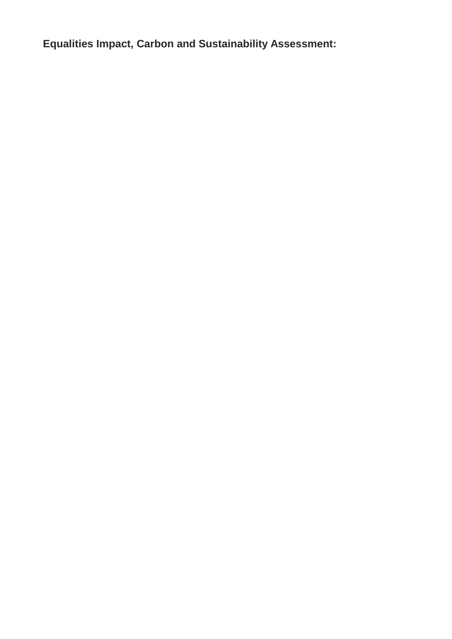**Equalities Impact, Carbon and Sustainability Assessment:**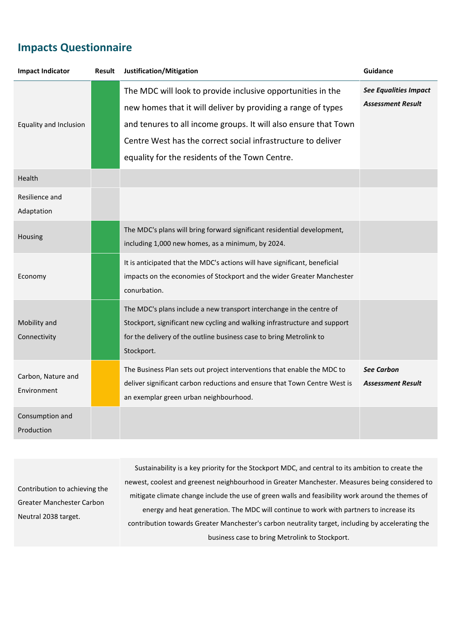### **Impacts Questionnaire**

| <b>See Equalities Impact</b><br>The MDC will look to provide inclusive opportunities in the<br><b>Assessment Result</b><br>new homes that it will deliver by providing a range of types<br>and tenures to all income groups. It will also ensure that Town<br>Equality and Inclusion<br>Centre West has the correct social infrastructure to deliver<br>equality for the residents of the Town Centre.<br>Health<br>Resilience and<br>Adaptation<br>The MDC's plans will bring forward significant residential development,<br>Housing<br>including 1,000 new homes, as a minimum, by 2024.<br>It is anticipated that the MDC's actions will have significant, beneficial<br>impacts on the economies of Stockport and the wider Greater Manchester<br>Economy<br>conurbation.<br>The MDC's plans include a new transport interchange in the centre of<br>Mobility and<br>Stockport, significant new cycling and walking infrastructure and support<br>for the delivery of the outline business case to bring Metrolink to<br>Connectivity<br>Stockport.<br>The Business Plan sets out project interventions that enable the MDC to<br><b>See Carbon</b><br>Carbon, Nature and | <b>Impact Indicator</b> | <b>Result</b> | Justification/Mitigation                                                  | Guidance                 |
|--------------------------------------------------------------------------------------------------------------------------------------------------------------------------------------------------------------------------------------------------------------------------------------------------------------------------------------------------------------------------------------------------------------------------------------------------------------------------------------------------------------------------------------------------------------------------------------------------------------------------------------------------------------------------------------------------------------------------------------------------------------------------------------------------------------------------------------------------------------------------------------------------------------------------------------------------------------------------------------------------------------------------------------------------------------------------------------------------------------------------------------------------------------------------------|-------------------------|---------------|---------------------------------------------------------------------------|--------------------------|
|                                                                                                                                                                                                                                                                                                                                                                                                                                                                                                                                                                                                                                                                                                                                                                                                                                                                                                                                                                                                                                                                                                                                                                                |                         |               |                                                                           |                          |
|                                                                                                                                                                                                                                                                                                                                                                                                                                                                                                                                                                                                                                                                                                                                                                                                                                                                                                                                                                                                                                                                                                                                                                                |                         |               |                                                                           |                          |
|                                                                                                                                                                                                                                                                                                                                                                                                                                                                                                                                                                                                                                                                                                                                                                                                                                                                                                                                                                                                                                                                                                                                                                                |                         |               |                                                                           |                          |
|                                                                                                                                                                                                                                                                                                                                                                                                                                                                                                                                                                                                                                                                                                                                                                                                                                                                                                                                                                                                                                                                                                                                                                                |                         |               |                                                                           |                          |
|                                                                                                                                                                                                                                                                                                                                                                                                                                                                                                                                                                                                                                                                                                                                                                                                                                                                                                                                                                                                                                                                                                                                                                                |                         |               |                                                                           |                          |
|                                                                                                                                                                                                                                                                                                                                                                                                                                                                                                                                                                                                                                                                                                                                                                                                                                                                                                                                                                                                                                                                                                                                                                                |                         |               |                                                                           |                          |
| Environment<br>an exemplar green urban neighbourhood.                                                                                                                                                                                                                                                                                                                                                                                                                                                                                                                                                                                                                                                                                                                                                                                                                                                                                                                                                                                                                                                                                                                          |                         |               | deliver significant carbon reductions and ensure that Town Centre West is | <b>Assessment Result</b> |
| Consumption and<br>Production                                                                                                                                                                                                                                                                                                                                                                                                                                                                                                                                                                                                                                                                                                                                                                                                                                                                                                                                                                                                                                                                                                                                                  |                         |               |                                                                           |                          |

Contribution to achieving the Greater Manchester Carbon Neutral 2038 target.

Sustainability is a key priority for the Stockport MDC, and central to its ambition to create the newest, coolest and greenest neighbourhood in Greater Manchester. Measures being considered to mitigate climate change include the use of green walls and feasibility work around the themes of energy and heat generation. The MDC will continue to work with partners to increase its contribution towards Greater Manchester's carbon neutrality target, including by accelerating the business case to bring Metrolink to Stockport.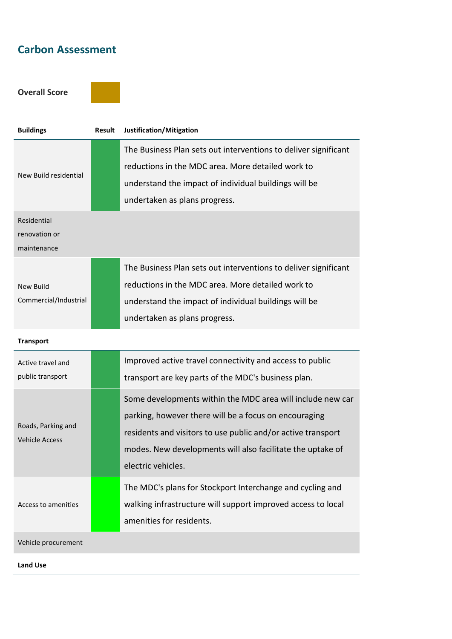### **Carbon Assessment**

**Overall Score** 



| <b>Buildings</b>                            | <b>Result</b> | Justification/Mitigation                                                                                                                                                                                                                                                |
|---------------------------------------------|---------------|-------------------------------------------------------------------------------------------------------------------------------------------------------------------------------------------------------------------------------------------------------------------------|
| New Build residential                       |               | The Business Plan sets out interventions to deliver significant<br>reductions in the MDC area. More detailed work to<br>understand the impact of individual buildings will be<br>undertaken as plans progress.                                                          |
| Residential<br>renovation or<br>maintenance |               |                                                                                                                                                                                                                                                                         |
| <b>New Build</b><br>Commercial/Industrial   |               | The Business Plan sets out interventions to deliver significant<br>reductions in the MDC area. More detailed work to<br>understand the impact of individual buildings will be<br>undertaken as plans progress.                                                          |
| <b>Transport</b>                            |               |                                                                                                                                                                                                                                                                         |
| Active travel and<br>public transport       |               | Improved active travel connectivity and access to public<br>transport are key parts of the MDC's business plan.                                                                                                                                                         |
| Roads, Parking and<br><b>Vehicle Access</b> |               | Some developments within the MDC area will include new car<br>parking, however there will be a focus on encouraging<br>residents and visitors to use public and/or active transport<br>modes. New developments will also facilitate the uptake of<br>electric vehicles. |
| Access to amenities                         |               | The MDC's plans for Stockport Interchange and cycling and<br>walking infrastructure will support improved access to local<br>amenities for residents.                                                                                                                   |
| Vehicle procurement                         |               |                                                                                                                                                                                                                                                                         |

**Land Use**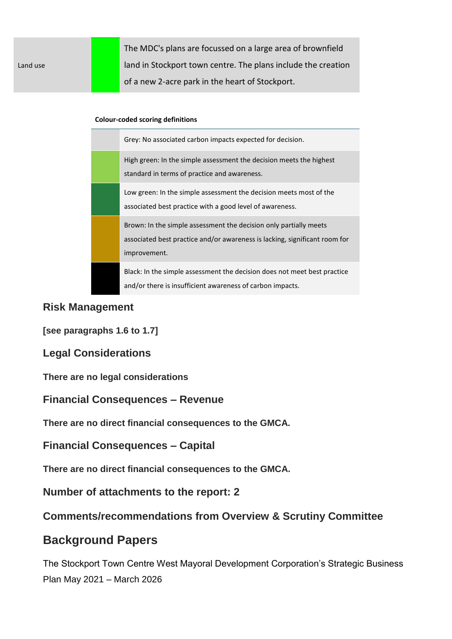|          | The MDC's plans are focussed on a large area of brownfield    |
|----------|---------------------------------------------------------------|
| Land use | land in Stockport town centre. The plans include the creation |
|          | of a new 2-acre park in the heart of Stockport.               |

#### **Colour-coded scoring definitions**

| Grey: No associated carbon impacts expected for decision.                                                                                                       |
|-----------------------------------------------------------------------------------------------------------------------------------------------------------------|
| High green: In the simple assessment the decision meets the highest<br>standard in terms of practice and awareness.                                             |
| Low green: In the simple assessment the decision meets most of the<br>associated best practice with a good level of awareness.                                  |
| Brown: In the simple assessment the decision only partially meets<br>associated best practice and/or awareness is lacking, significant room for<br>improvement. |
| Black: In the simple assessment the decision does not meet best practice<br>and/or there is insufficient awareness of carbon impacts.                           |

#### **Risk Management**

**[see paragraphs 1.6 to 1.7]**

**Legal Considerations**

**There are no legal considerations**

**Financial Consequences – Revenue**

**There are no direct financial consequences to the GMCA.**

**Financial Consequences – Capital**

**There are no direct financial consequences to the GMCA.**

**Number of attachments to the report: 2**

#### **Comments/recommendations from Overview & Scrutiny Committee**

### **Background Papers**

The Stockport Town Centre West Mayoral Development Corporation's Strategic Business Plan May 2021 – March 2026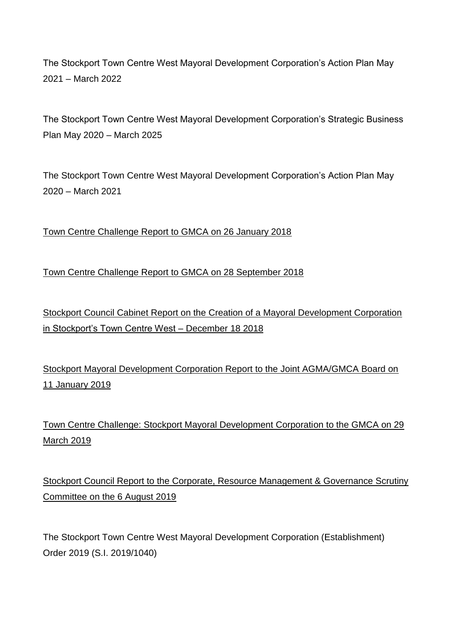The Stockport Town Centre West Mayoral Development Corporation's Action Plan May 2021 – March 2022

The Stockport Town Centre West Mayoral Development Corporation's Strategic Business Plan May 2020 – March 2025

The Stockport Town Centre West Mayoral Development Corporation's Action Plan May 2020 – March 2021

[Town Centre Challenge Report to GMCA on 26 January 2018](https://www.gmcameetings.co.uk/meetings/meeting/477/greater_manchester_combined_authority)

[Town Centre Challenge Report to GMCA on 28 September 2018](https://www.gmcameetings.co.uk/download/meetings/id/3715/16_town_centre_challenge_and_mayoral_development_corporations)

[Stockport Council Cabinet Report on the Creation of a Mayoral Development Corporation](http://democracy.stockport.gov.uk/ieDecisionDetails.aspx?AIId=50946)  [in Stockport's Town Centre West –](http://democracy.stockport.gov.uk/ieDecisionDetails.aspx?AIId=50946) December 18 2018

[Stockport Mayoral Development Corporation Report to the Joint AGMA/GMCA Board on](https://www.gmcameetings.co.uk/download/meetings/id/4046/7_stockport_mayoral_development_corporation)  [11 January 2019](https://www.gmcameetings.co.uk/download/meetings/id/4046/7_stockport_mayoral_development_corporation)

[Town Centre Challenge: Stockport Mayoral Development Corporation to the GMCA on 29](https://www.gmcameetings.co.uk/meetings/meeting/668/greater_manchester_combined_authority)  [March 2019](https://www.gmcameetings.co.uk/meetings/meeting/668/greater_manchester_combined_authority)

Stockport Council Report to the [Corporate, Resource Management & Governance Scrutiny](http://democracy.stockport.gov.uk/documents/g26549/Public%20reports%20pack%2006th-Aug-2019%2018.00%20Corporate%20Resource%20Management%20Governance%20Scrutiny%20Commi.pdf?T=10)  [Committee on the 6 August 2019](http://democracy.stockport.gov.uk/documents/g26549/Public%20reports%20pack%2006th-Aug-2019%2018.00%20Corporate%20Resource%20Management%20Governance%20Scrutiny%20Commi.pdf?T=10)

The Stockport Town Centre West Mayoral Development Corporation (Establishment) Order 2019 (S.I. 2019/1040)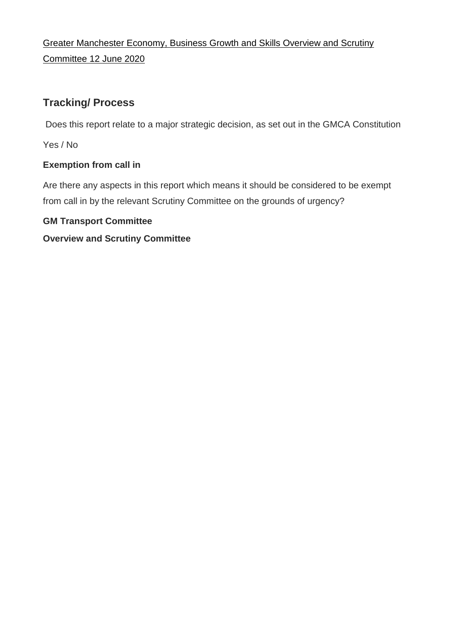[Greater Manchester Economy, Business Growth and Skills Overview and Scrutiny](https://democracy.greatermanchester-ca.gov.uk/ieListDocuments.aspx?CId=148&MId=4048&Ver=4)  [Committee](https://democracy.greatermanchester-ca.gov.uk/ieListDocuments.aspx?CId=148&MId=4048&Ver=4) 12 June 2020

### **Tracking/ Process**

Does this report relate to a major strategic decision, as set out in the GMCA Constitution

Yes / No

#### **Exemption from call in**

Are there any aspects in this report which means it should be considered to be exempt from call in by the relevant Scrutiny Committee on the grounds of urgency?

#### **GM Transport Committee**

#### **Overview and Scrutiny Committee**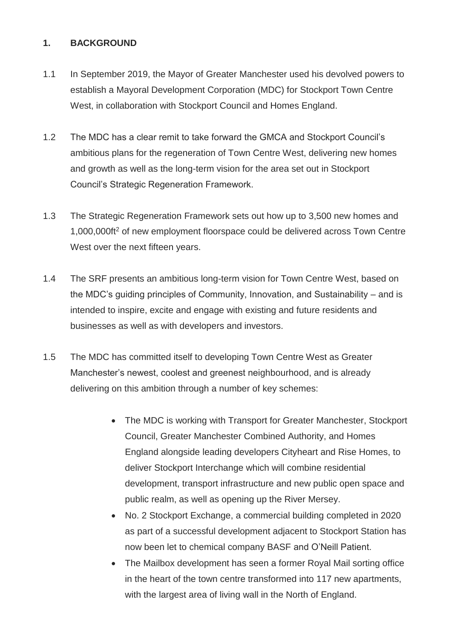#### **1. BACKGROUND**

- 1.1 In September 2019, the Mayor of Greater Manchester used his devolved powers to establish a Mayoral Development Corporation (MDC) for Stockport Town Centre West, in collaboration with Stockport Council and Homes England.
- 1.2 The MDC has a clear remit to take forward the GMCA and Stockport Council's ambitious plans for the regeneration of Town Centre West, delivering new homes and growth as well as the long-term vision for the area set out in Stockport Council's Strategic Regeneration Framework.
- 1.3 The Strategic Regeneration Framework sets out how up to 3,500 new homes and 1,000,000ft<sup>2</sup> of new employment floorspace could be delivered across Town Centre West over the next fifteen years.
- 1.4 The SRF presents an ambitious long-term vision for Town Centre West, based on the MDC's guiding principles of Community, Innovation, and Sustainability – and is intended to inspire, excite and engage with existing and future residents and businesses as well as with developers and investors.
- 1.5 The MDC has committed itself to developing Town Centre West as Greater Manchester's newest, coolest and greenest neighbourhood, and is already delivering on this ambition through a number of key schemes:
	- The MDC is working with Transport for Greater Manchester, Stockport Council, Greater Manchester Combined Authority, and Homes England alongside leading developers Cityheart and Rise Homes, to deliver Stockport Interchange which will combine residential development, transport infrastructure and new public open space and public realm, as well as opening up the River Mersey.
	- No. 2 Stockport Exchange, a commercial building completed in 2020 as part of a successful development adjacent to Stockport Station has now been let to chemical company BASF and O'Neill Patient.
	- The Mailbox development has seen a former Royal Mail sorting office in the heart of the town centre transformed into 117 new apartments, with the largest area of living wall in the North of England.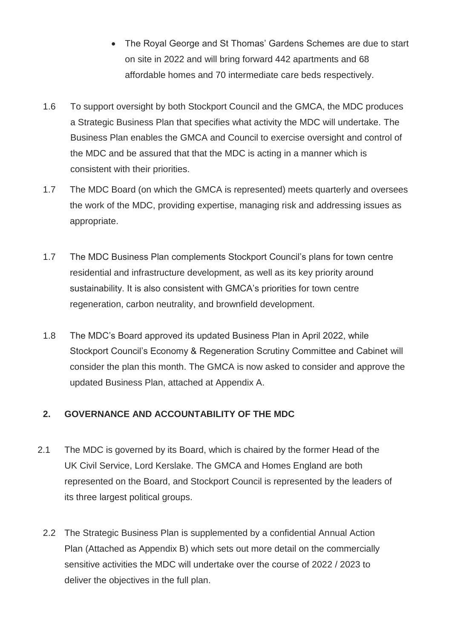- The Royal George and St Thomas' Gardens Schemes are due to start on site in 2022 and will bring forward 442 apartments and 68 affordable homes and 70 intermediate care beds respectively.
- 1.6 To support oversight by both Stockport Council and the GMCA, the MDC produces a Strategic Business Plan that specifies what activity the MDC will undertake. The Business Plan enables the GMCA and Council to exercise oversight and control of the MDC and be assured that that the MDC is acting in a manner which is consistent with their priorities.
- 1.7 The MDC Board (on which the GMCA is represented) meets quarterly and oversees the work of the MDC, providing expertise, managing risk and addressing issues as appropriate.
- 1.7 The MDC Business Plan complements Stockport Council's plans for town centre residential and infrastructure development, as well as its key priority around sustainability. It is also consistent with GMCA's priorities for town centre regeneration, carbon neutrality, and brownfield development.
- 1.8 The MDC's Board approved its updated Business Plan in April 2022, while Stockport Council's Economy & Regeneration Scrutiny Committee and Cabinet will consider the plan this month. The GMCA is now asked to consider and approve the updated Business Plan, attached at Appendix A.

#### **2. GOVERNANCE AND ACCOUNTABILITY OF THE MDC**

- 2.1 The MDC is governed by its Board, which is chaired by the former Head of the UK Civil Service, Lord Kerslake. The GMCA and Homes England are both represented on the Board, and Stockport Council is represented by the leaders of its three largest political groups.
	- 2.2 The Strategic Business Plan is supplemented by a confidential Annual Action Plan (Attached as Appendix B) which sets out more detail on the commercially sensitive activities the MDC will undertake over the course of 2022 / 2023 to deliver the objectives in the full plan.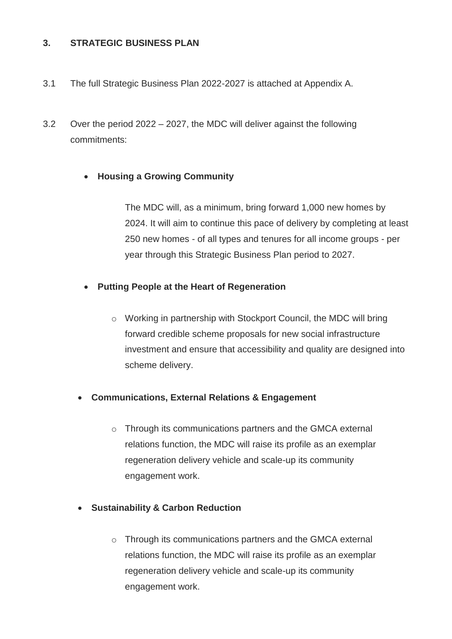#### **3. STRATEGIC BUSINESS PLAN**

- 3.1 The full Strategic Business Plan 2022-2027 is attached at Appendix A.
- 3.2 Over the period 2022 2027, the MDC will deliver against the following commitments:

#### **Housing a Growing Community**

The MDC will, as a minimum, bring forward 1,000 new homes by 2024. It will aim to continue this pace of delivery by completing at least 250 new homes - of all types and tenures for all income groups - per year through this Strategic Business Plan period to 2027.

#### **Putting People at the Heart of Regeneration**

o Working in partnership with Stockport Council, the MDC will bring forward credible scheme proposals for new social infrastructure investment and ensure that accessibility and quality are designed into scheme delivery.

#### **Communications, External Relations & Engagement**

- o Through its communications partners and the GMCA external relations function, the MDC will raise its profile as an exemplar regeneration delivery vehicle and scale-up its community engagement work.
- **Sustainability & Carbon Reduction**
	- o Through its communications partners and the GMCA external relations function, the MDC will raise its profile as an exemplar regeneration delivery vehicle and scale-up its community engagement work.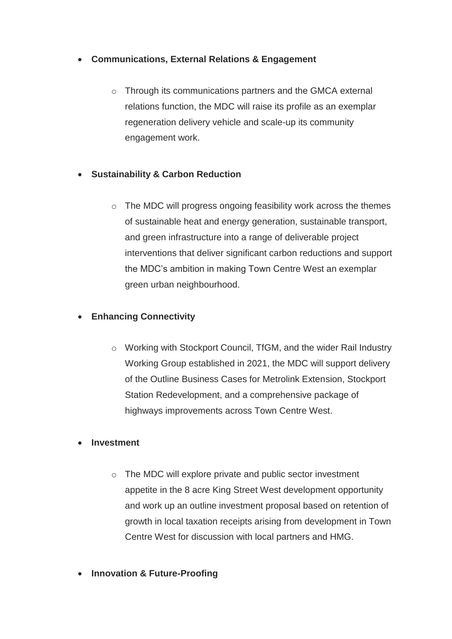#### **Communications, External Relations & Engagement**

o Through its communications partners and the GMCA external relations function, the MDC will raise its profile as an exemplar regeneration delivery vehicle and scale-up its community engagement work.

#### **Sustainability & Carbon Reduction**

o The MDC will progress ongoing feasibility work across the themes of sustainable heat and energy generation, sustainable transport, and green infrastructure into a range of deliverable project interventions that deliver significant carbon reductions and support the MDC's ambition in making Town Centre West an exemplar green urban neighbourhood.

#### **Enhancing Connectivity**

o Working with Stockport Council, TfGM, and the wider Rail Industry Working Group established in 2021, the MDC will support delivery of the Outline Business Cases for Metrolink Extension, Stockport Station Redevelopment, and a comprehensive package of highways improvements across Town Centre West.

#### **Investment**

- o The MDC will explore private and public sector investment appetite in the 8 acre King Street West development opportunity and work up an outline investment proposal based on retention of growth in local taxation receipts arising from development in Town Centre West for discussion with local partners and HMG.
- **Innovation & Future-Proofing**